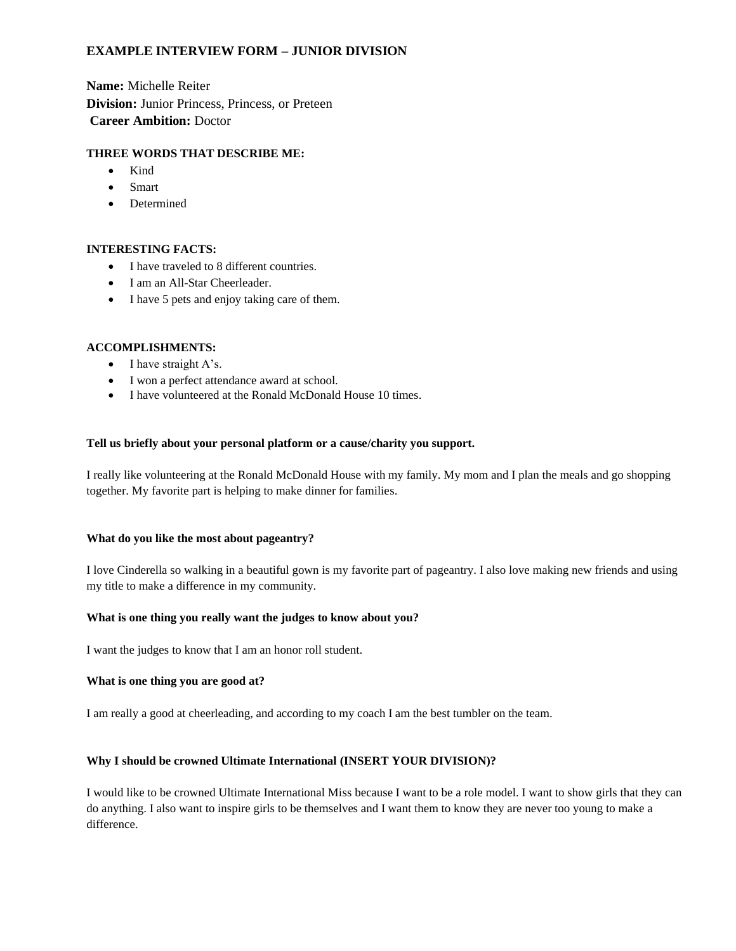# **EXAMPLE INTERVIEW FORM – JUNIOR DIVISION**

**Name:** Michelle Reiter **Division:** Junior Princess, Princess, or Preteen **Career Ambition:** Doctor

# **THREE WORDS THAT DESCRIBE ME:**

- Kind
- Smart
- Determined

# **INTERESTING FACTS:**

- I have traveled to 8 different countries.
- I am an All-Star Cheerleader.
- I have 5 pets and enjoy taking care of them.

# **ACCOMPLISHMENTS:**

- I have straight A's.
- I won a perfect attendance award at school.
- I have volunteered at the Ronald McDonald House 10 times.

## **Tell us briefly about your personal platform or a cause/charity you support.**

I really like volunteering at the Ronald McDonald House with my family. My mom and I plan the meals and go shopping together. My favorite part is helping to make dinner for families.

#### **What do you like the most about pageantry?**

I love Cinderella so walking in a beautiful gown is my favorite part of pageantry. I also love making new friends and using my title to make a difference in my community.

#### **What is one thing you really want the judges to know about you?**

I want the judges to know that I am an honor roll student.

### **What is one thing you are good at?**

I am really a good at cheerleading, and according to my coach I am the best tumbler on the team.

## **Why I should be crowned Ultimate International (INSERT YOUR DIVISION)?**

I would like to be crowned Ultimate International Miss because I want to be a role model. I want to show girls that they can do anything. I also want to inspire girls to be themselves and I want them to know they are never too young to make a difference.